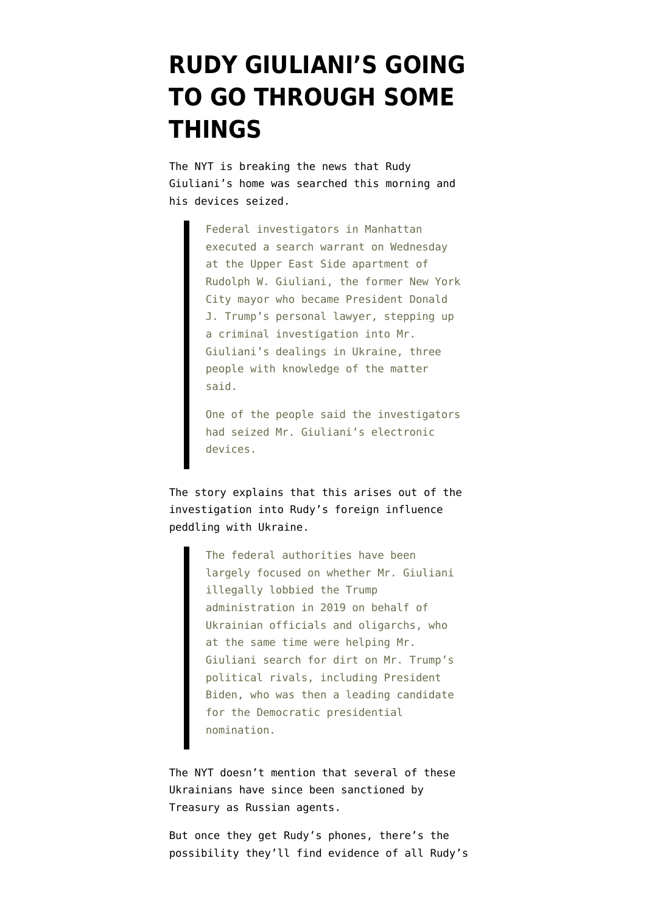## **[RUDY GIULIANI'S GOING](https://www.emptywheel.net/2021/04/28/rudy-giulianis-going-to-go-through-some-things/) [TO GO THROUGH SOME](https://www.emptywheel.net/2021/04/28/rudy-giulianis-going-to-go-through-some-things/) [THINGS](https://www.emptywheel.net/2021/04/28/rudy-giulianis-going-to-go-through-some-things/)**

The [NYT is breaking the news](https://www.nytimes.com/2021/04/28/nyregion/rudy-giuliani-trump-ukraine-warrant.html) that Rudy Giuliani's home was searched this morning and his devices seized.

> Federal investigators in Manhattan executed a search warrant on Wednesday at the Upper East Side apartment of Rudolph W. Giuliani, the former New York City mayor who became President Donald J. Trump's personal lawyer, stepping up a criminal investigation into Mr. Giuliani's dealings in Ukraine, three people with knowledge of the matter said.

> One of the people said the investigators had seized Mr. Giuliani's electronic devices.

The story explains that this arises out of the investigation into Rudy's foreign influence peddling with Ukraine.

> The federal authorities have been largely focused on whether Mr. Giuliani illegally lobbied the Trump administration in 2019 on behalf of Ukrainian officials and oligarchs, who at the same time were helping Mr. Giuliani search for dirt on Mr. Trump's political rivals, including President Biden, who was then a leading candidate for the Democratic presidential nomination.

The NYT doesn't mention that several of these Ukrainians have since been sanctioned by Treasury as Russian agents.

But once they get Rudy's phones, there's the possibility they'll find evidence of all Rudy's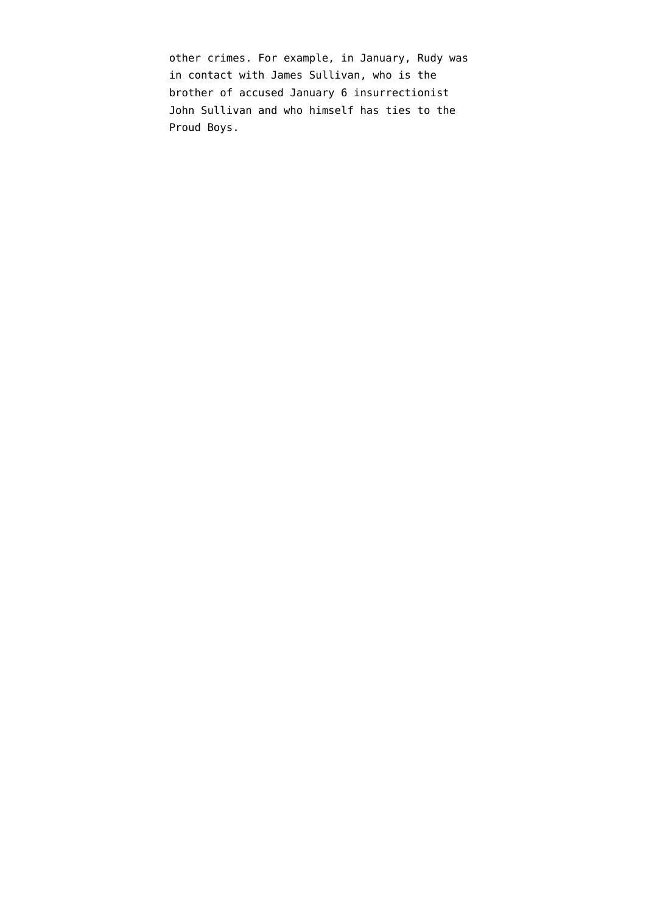other crimes. For example, in January, Rudy was in contact with James Sullivan, who is the brother of accused January 6 insurrectionist John Sullivan and who himself has ties to the Proud Boys.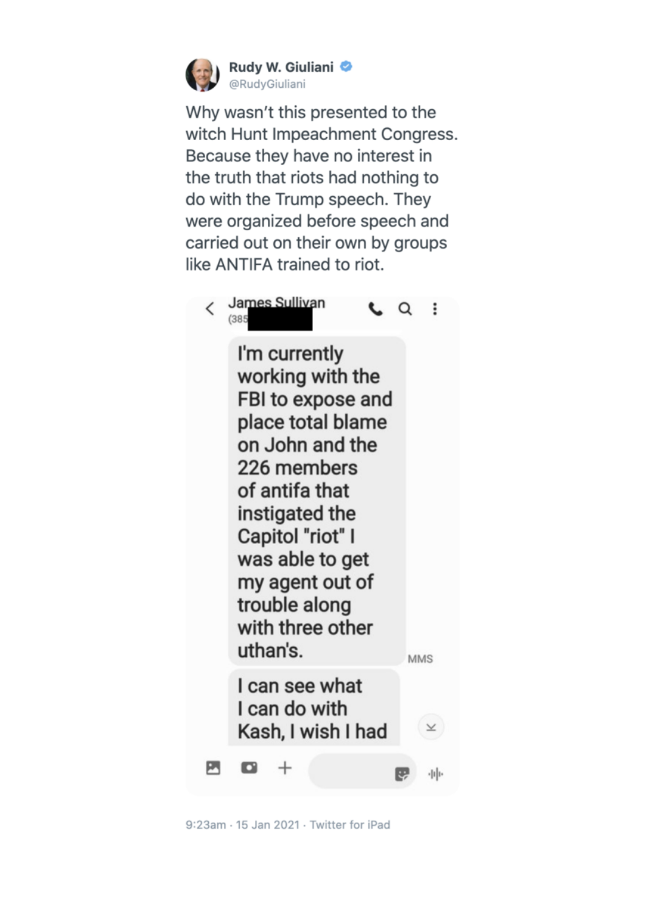

Why wasn't this presented to the witch Hunt Impeachment Congress. Because they have no interest in the truth that riots had nothing to do with the Trump speech. They were organized before speech and carried out on their own by groups like ANTIFA trained to riot.



9:23am · 15 Jan 2021 · Twitter for iPad